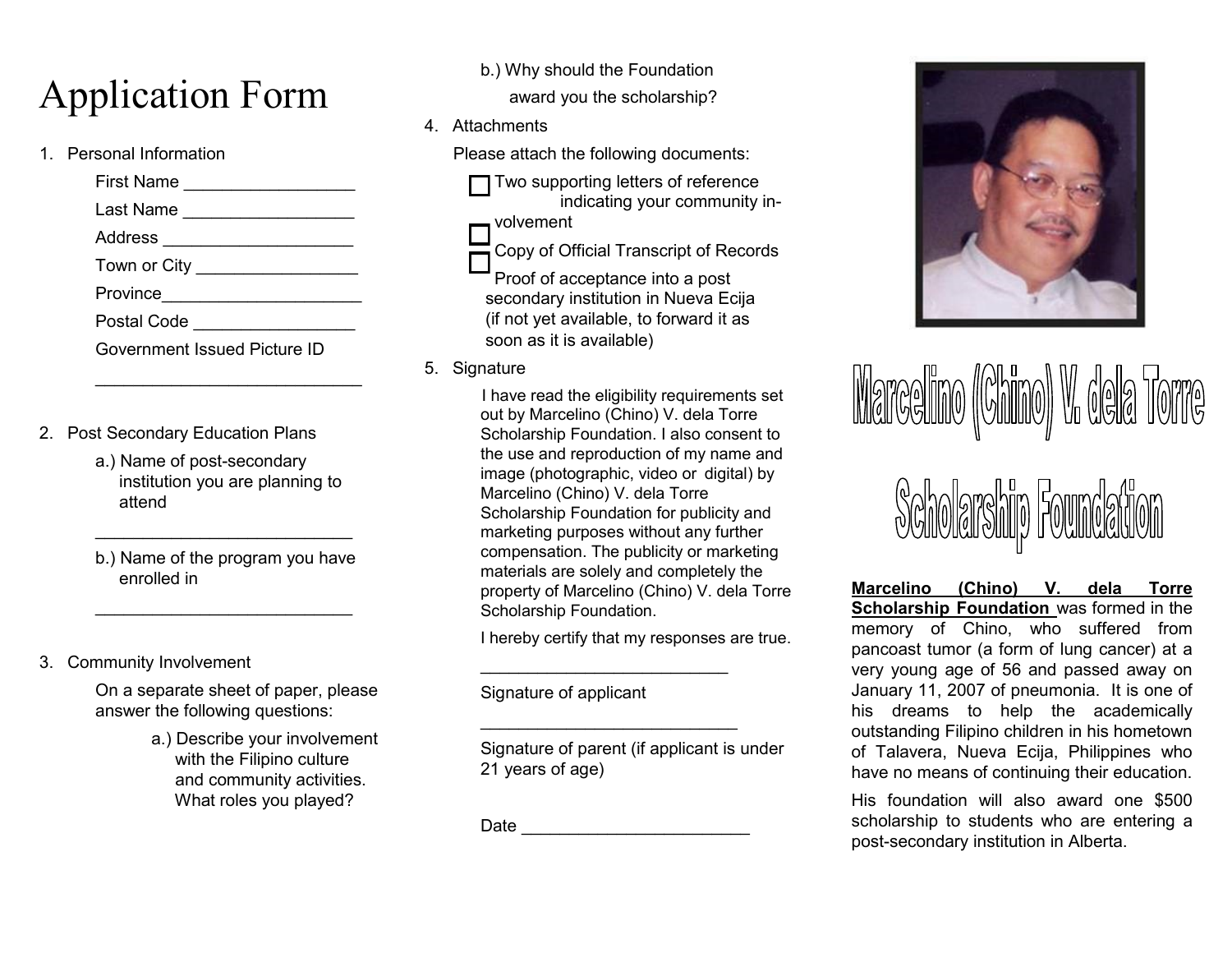## Application Form

1. Personal Information

First Name \_\_\_\_\_\_\_\_\_\_\_\_\_\_\_\_\_\_\_\_\_\_ Last Name \_\_\_\_\_\_\_\_\_\_\_\_\_\_\_\_\_\_ Address \_\_\_\_\_\_\_\_\_\_\_\_\_\_\_\_\_\_\_\_ Town or City Province\_\_\_\_\_\_\_\_\_\_\_\_\_\_\_\_\_\_\_\_\_ Postal Code \_\_\_\_\_\_\_\_\_\_\_\_\_\_\_\_\_ Government Issued Picture ID

- 2. Post Secondary Education Plans
	- a.) Name of post-secondary institution you are planning to attend
	- b.) Name of the program you have enrolled in

 $\mathcal{L}_\text{max}$  , where  $\mathcal{L}_\text{max}$  is the set of the set of the set of the set of the set of the set of the set of the set of the set of the set of the set of the set of the set of the set of the set of the set of the se

 $\mathcal{L}_\text{max}$  , where  $\mathcal{L}_\text{max}$  is the set of the set of the set of the set of the set of the set of the set of the set of the set of the set of the set of the set of the set of the set of the set of the set of the se

3. Community Involvement

On a separate sheet of paper, please answer the following questions:

> a.) Describe your involvement with the Filipino culture and community activities. What roles you played?

b.) Why should the Foundation

award you the scholarship?

4. Attachments

Please attach the following documents:

 $\Box$  Two supporting letters of reference indicating your community involvement

Copy of Official Transcript of Records

Proof of acceptance into a post secondary institution in Nueva Ecija (if not yet available, to forward it as soon as it is available)

5. Signature

 I have read the eligibility requirements set out by Marcelino (Chino) V. dela Torre Scholarship Foundation. I also consent to the use and reproduction of my name and image (photographic, video or digital) by Marcelino (Chino) V. dela Torre Scholarship Foundation for publicity and marketing purposes without any further compensation. The publicity or marketing materials are solely and completely the property of Marcelino (Chino) V. dela Torre Scholarship Foundation.

I hereby certify that my responses are true.

 $\mathcal{L}_\text{max}$  , where  $\mathcal{L}_\text{max}$  is the set of the set of the set of the set of the set of the set of the set of the set of the set of the set of the set of the set of the set of the set of the set of the set of the se

 $\mathcal{L}_\text{max}$  , where  $\mathcal{L}_\text{max}$  and  $\mathcal{L}_\text{max}$  and  $\mathcal{L}_\text{max}$ 

Signature of applicant

Signature of parent (if applicant is under 21 years of age)

Date \_\_\_\_\_\_\_\_\_\_\_\_\_\_\_\_\_\_\_\_\_\_\_\_



# <u> Marcelino ((Chino) V. dela</u>



**Marcelino (Chino) V. dela Torre Scholarship Foundation** was formed in the memory of Chino, who suffered from pancoast tumor (a form of lung cancer) at a very young age of 56 and passed away on January 11, 2007 of pneumonia. It is one of his dreams to help the academically outstanding Filipino children in his hometown of Talavera, Nueva Ecija, Philippines who have no means of continuing their education.

His foundation will also award one \$500 scholarship to students who are entering a post-secondary institution in Alberta.